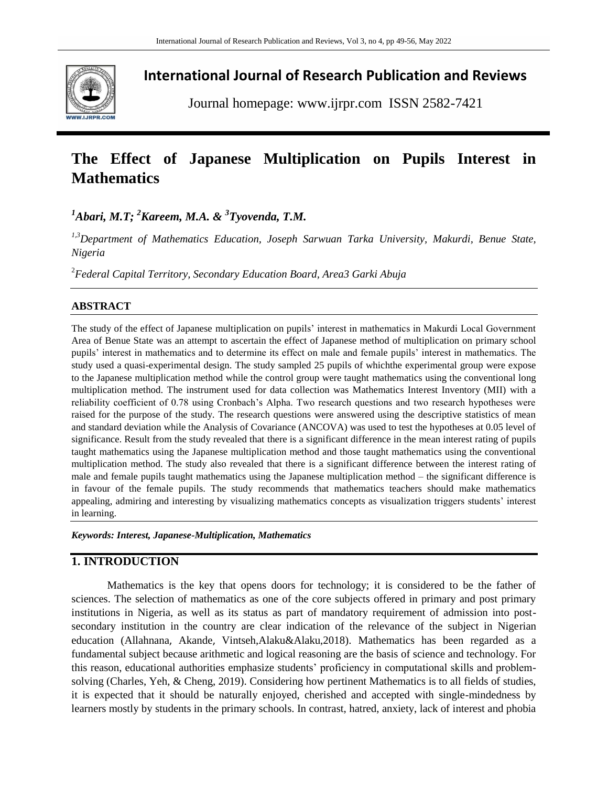

## **International Journal of Research Publication and Reviews**

Journal homepage: www.ijrpr.com ISSN 2582-7421

# **The Effect of Japanese Multiplication on Pupils Interest in Mathematics**

*<sup>1</sup>Abari, M.T; <sup>2</sup>Kareem, M.A. & 3 Tyovenda, T.M.*

*1,3Department of Mathematics Education, Joseph Sarwuan Tarka University, Makurdi, Benue State, Nigeria*

<sup>2</sup>*Federal Capital Territory, Secondary Education Board, Area3 Garki Abuja*

#### **ABSTRACT**

The study of the effect of Japanese multiplication on pupils' interest in mathematics in Makurdi Local Government Area of Benue State was an attempt to ascertain the effect of Japanese method of multiplication on primary school pupils' interest in mathematics and to determine its effect on male and female pupils' interest in mathematics. The study used a quasi-experimental design. The study sampled 25 pupils of whichthe experimental group were expose to the Japanese multiplication method while the control group were taught mathematics using the conventional long multiplication method. The instrument used for data collection was Mathematics Interest Inventory (MII) with a reliability coefficient of 0.78 using Cronbach's Alpha. Two research questions and two research hypotheses were raised for the purpose of the study. The research questions were answered using the descriptive statistics of mean and standard deviation while the Analysis of Covariance (ANCOVA) was used to test the hypotheses at 0.05 level of significance. Result from the study revealed that there is a significant difference in the mean interest rating of pupils taught mathematics using the Japanese multiplication method and those taught mathematics using the conventional multiplication method. The study also revealed that there is a significant difference between the interest rating of male and female pupils taught mathematics using the Japanese multiplication method – the significant difference is in favour of the female pupils. The study recommends that mathematics teachers should make mathematics appealing, admiring and interesting by visualizing mathematics concepts as visualization triggers students' interest in learning.

*Keywords: Interest, Japanese-Multiplication, Mathematics*

## **1. INTRODUCTION**

Mathematics is the key that opens doors for technology; it is considered to be the father of sciences. The selection of mathematics as one of the core subjects offered in primary and post primary institutions in Nigeria, as well as its status as part of mandatory requirement of admission into postsecondary institution in the country are clear indication of the relevance of the subject in Nigerian education (Allahnana, Akande, Vintseh,Alaku&Alaku,2018). Mathematics has been regarded as a fundamental subject because arithmetic and logical reasoning are the basis of science and technology. For this reason, educational authorities emphasize students' proficiency in computational skills and problemsolving (Charles, Yeh, & Cheng, 2019). Considering how pertinent Mathematics is to all fields of studies, it is expected that it should be naturally enjoyed, cherished and accepted with single-mindedness by learners mostly by students in the primary schools. In contrast, hatred, anxiety, lack of interest and phobia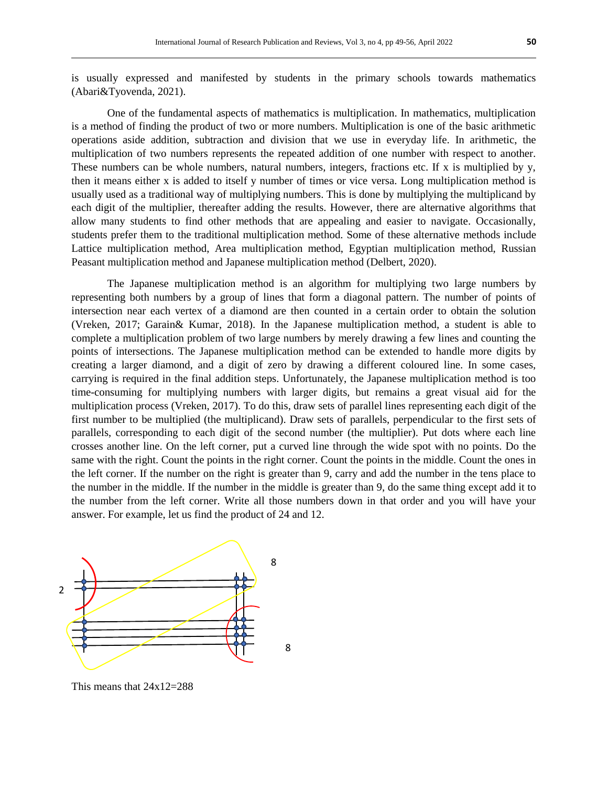is usually expressed and manifested by students in the primary schools towards mathematics (Abari&Tyovenda, 2021).

One of the fundamental aspects of mathematics is multiplication. In mathematics, multiplication is a method of finding the product of two or more numbers. Multiplication is one of the basic arithmetic operations aside addition, subtraction and division that we use in everyday life. In arithmetic, the multiplication of two numbers represents the repeated addition of one number with respect to another. These numbers can be whole numbers, natural numbers, integers, fractions etc. If x is multiplied by y, then it means either x is added to itself y number of times or vice versa. Long multiplication method is usually used as a traditional way of multiplying numbers. This is done by multiplying the multiplicand by each digit of the multiplier, thereafter adding the results. However, there are alternative algorithms that allow many students to find other methods that are appealing and easier to navigate. Occasionally, students prefer them to the traditional multiplication method. Some of these alternative methods include Lattice multiplication method, Area multiplication method, Egyptian multiplication method, Russian Peasant multiplication method and Japanese multiplication method (Delbert, 2020).

The Japanese multiplication method is an algorithm for multiplying two large numbers by representing both numbers by a group of lines that form a diagonal pattern. The number of points of intersection near each vertex of a diamond are then counted in a certain order to obtain the solution (Vreken, 2017; Garain& Kumar, 2018). In the Japanese multiplication method, a student is able to complete a multiplication problem of two large numbers by merely drawing a few lines and counting the points of intersections. The Japanese multiplication method can be extended to handle more digits by creating a larger diamond, and a digit of zero by drawing a different coloured line. In some cases, carrying is required in the final addition steps. Unfortunately, the Japanese multiplication method is too time-consuming for multiplying numbers with larger digits, but remains a great visual aid for the multiplication process (Vreken, 2017). To do this, draw sets of parallel lines representing each digit of the first number to be multiplied (the multiplicand). Draw sets of parallels, perpendicular to the first sets of parallels, corresponding to each digit of the second number (the multiplier). Put dots where each line crosses another line. On the left corner, put a curved line through the wide spot with no points. Do the same with the right. Count the points in the right corner. Count the points in the middle. Count the ones in the left corner. If the number on the right is greater than 9, carry and add the number in the tens place to the number in the middle. If the number in the middle is greater than 9, do the same thing except add it to the number from the left corner. Write all those numbers down in that order and you will have your answer. For example, let us find the product of 24 and 12.



This means that 24x12=288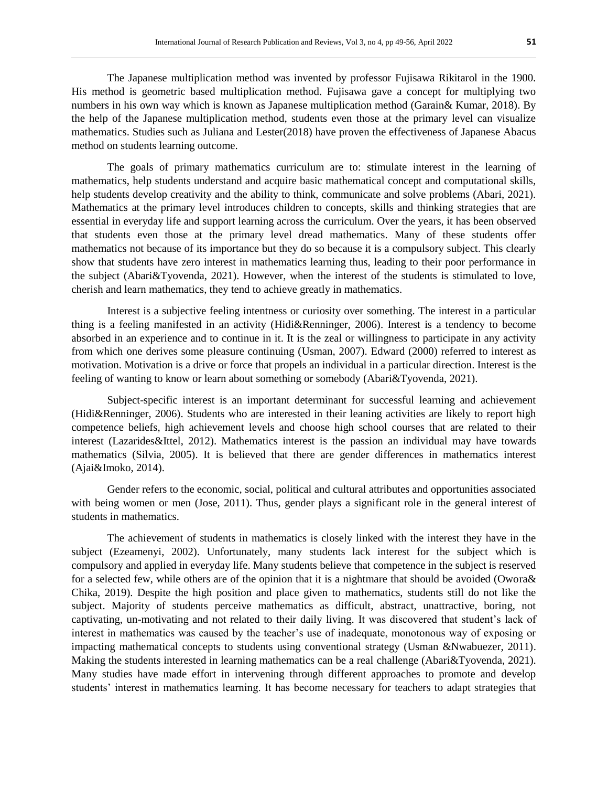The Japanese multiplication method was invented by professor Fujisawa Rikitarol in the 1900. His method is geometric based multiplication method. Fujisawa gave a concept for multiplying two numbers in his own way which is known as Japanese multiplication method (Garain& Kumar, 2018). By the help of the Japanese multiplication method, students even those at the primary level can visualize mathematics. Studies such as Juliana and Lester(2018) have proven the effectiveness of Japanese Abacus method on students learning outcome.

The goals of primary mathematics curriculum are to: stimulate interest in the learning of mathematics, help students understand and acquire basic mathematical concept and computational skills, help students develop creativity and the ability to think, communicate and solve problems (Abari, 2021). Mathematics at the primary level introduces children to concepts, skills and thinking strategies that are essential in everyday life and support learning across the curriculum. Over the years, it has been observed that students even those at the primary level dread mathematics. Many of these students offer mathematics not because of its importance but they do so because it is a compulsory subject. This clearly show that students have zero interest in mathematics learning thus, leading to their poor performance in the subject (Abari&Tyovenda, 2021). However, when the interest of the students is stimulated to love, cherish and learn mathematics, they tend to achieve greatly in mathematics.

Interest is a subjective feeling intentness or curiosity over something. The interest in a particular thing is a feeling manifested in an activity (Hidi&Renninger, 2006). Interest is a tendency to become absorbed in an experience and to continue in it. It is the zeal or willingness to participate in any activity from which one derives some pleasure continuing (Usman, 2007). Edward (2000) referred to interest as motivation. Motivation is a drive or force that propels an individual in a particular direction. Interest is the feeling of wanting to know or learn about something or somebody (Abari&Tyovenda, 2021).

Subject-specific interest is an important determinant for successful learning and achievement (Hidi&Renninger, 2006). Students who are interested in their leaning activities are likely to report high competence beliefs, high achievement levels and choose high school courses that are related to their interest (Lazarides&Ittel, 2012). Mathematics interest is the passion an individual may have towards mathematics (Silvia, 2005). It is believed that there are gender differences in mathematics interest (Ajai&Imoko, 2014).

Gender refers to the economic, social, political and cultural attributes and opportunities associated with being women or men (Jose, 2011). Thus, gender plays a significant role in the general interest of students in mathematics.

The achievement of students in mathematics is closely linked with the interest they have in the subject (Ezeamenyi, 2002). Unfortunately, many students lack interest for the subject which is compulsory and applied in everyday life. Many students believe that competence in the subject is reserved for a selected few, while others are of the opinion that it is a nightmare that should be avoided (Owora& Chika, 2019). Despite the high position and place given to mathematics, students still do not like the subject. Majority of students perceive mathematics as difficult, abstract, unattractive, boring, not captivating, un-motivating and not related to their daily living. It was discovered that student's lack of interest in mathematics was caused by the teacher's use of inadequate, monotonous way of exposing or impacting mathematical concepts to students using conventional strategy (Usman &Nwabuezer, 2011). Making the students interested in learning mathematics can be a real challenge (Abari&Tyovenda, 2021). Many studies have made effort in intervening through different approaches to promote and develop students' interest in mathematics learning. It has become necessary for teachers to adapt strategies that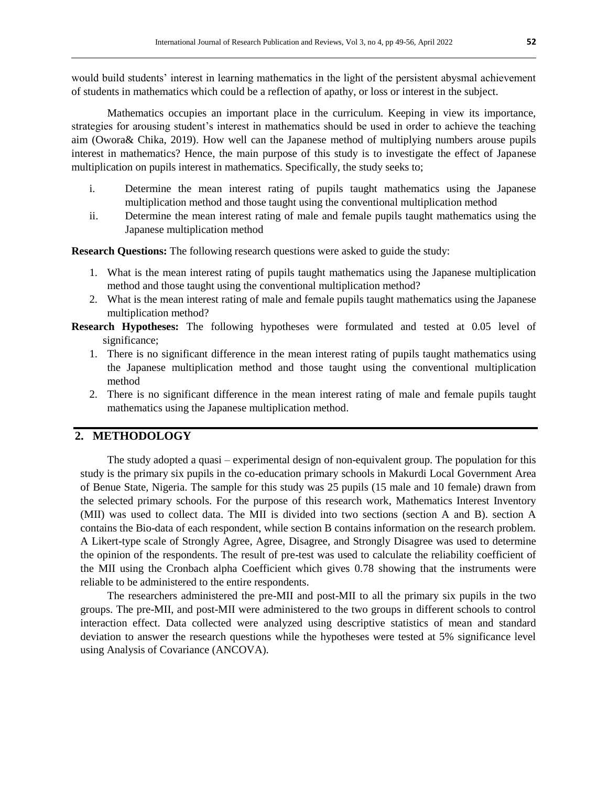would build students' interest in learning mathematics in the light of the persistent abysmal achievement of students in mathematics which could be a reflection of apathy, or loss or interest in the subject.

Mathematics occupies an important place in the curriculum. Keeping in view its importance, strategies for arousing student's interest in mathematics should be used in order to achieve the teaching aim (Owora& Chika, 2019). How well can the Japanese method of multiplying numbers arouse pupils interest in mathematics? Hence, the main purpose of this study is to investigate the effect of Japanese multiplication on pupils interest in mathematics. Specifically, the study seeks to;

- i. Determine the mean interest rating of pupils taught mathematics using the Japanese multiplication method and those taught using the conventional multiplication method
- ii. Determine the mean interest rating of male and female pupils taught mathematics using the Japanese multiplication method

**Research Questions:** The following research questions were asked to guide the study:

- 1. What is the mean interest rating of pupils taught mathematics using the Japanese multiplication method and those taught using the conventional multiplication method?
- 2. What is the mean interest rating of male and female pupils taught mathematics using the Japanese multiplication method?
- **Research Hypotheses:** The following hypotheses were formulated and tested at 0.05 level of significance;
	- 1. There is no significant difference in the mean interest rating of pupils taught mathematics using the Japanese multiplication method and those taught using the conventional multiplication method
	- 2. There is no significant difference in the mean interest rating of male and female pupils taught mathematics using the Japanese multiplication method.

## **2. METHODOLOGY**

The study adopted a quasi – experimental design of non-equivalent group. The population for this study is the primary six pupils in the co-education primary schools in Makurdi Local Government Area of Benue State, Nigeria. The sample for this study was 25 pupils (15 male and 10 female) drawn from the selected primary schools. For the purpose of this research work, Mathematics Interest Inventory (MII) was used to collect data. The MII is divided into two sections (section A and B). section A contains the Bio-data of each respondent, while section B contains information on the research problem. A Likert-type scale of Strongly Agree, Agree, Disagree, and Strongly Disagree was used to determine the opinion of the respondents. The result of pre-test was used to calculate the reliability coefficient of the MII using the Cronbach alpha Coefficient which gives 0.78 showing that the instruments were reliable to be administered to the entire respondents.

The researchers administered the pre-MII and post-MII to all the primary six pupils in the two groups. The pre-MII, and post-MII were administered to the two groups in different schools to control interaction effect. Data collected were analyzed using descriptive statistics of mean and standard deviation to answer the research questions while the hypotheses were tested at 5% significance level using Analysis of Covariance (ANCOVA).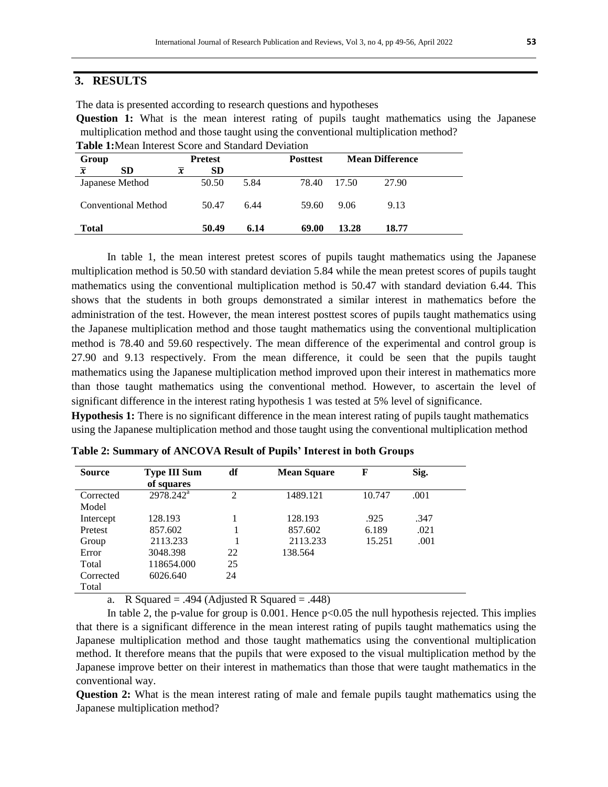## **3. RESULTS**

The data is presented according to research questions and hypotheses

**Question 1:** What is the mean interest rating of pupils taught mathematics using the Japanese multiplication method and those taught using the conventional multiplication method? **Table 1:**Mean Interest Score and Standard Deviation

| Group               |                 | <b>Pretest</b> |           |      | <b>Posttest</b> | <b>Mean Difference</b> |       |  |
|---------------------|-----------------|----------------|-----------|------|-----------------|------------------------|-------|--|
| $\overline{\bm{x}}$ | <b>SD</b>       | $\overline{x}$ | <b>SD</b> |      |                 |                        |       |  |
|                     | Japanese Method |                | 50.50     | 5.84 | 78.40           | 17.50                  | 27.90 |  |
| Conventional Method |                 |                | 50.47     | 6.44 | 59.60           | 9.06                   | 9.13  |  |
| <b>Total</b>        |                 |                | 50.49     | 6.14 | 69.00           | 13.28                  | 18.77 |  |

In table 1, the mean interest pretest scores of pupils taught mathematics using the Japanese multiplication method is 50.50 with standard deviation 5.84 while the mean pretest scores of pupils taught mathematics using the conventional multiplication method is 50.47 with standard deviation 6.44. This shows that the students in both groups demonstrated a similar interest in mathematics before the administration of the test. However, the mean interest posttest scores of pupils taught mathematics using the Japanese multiplication method and those taught mathematics using the conventional multiplication method is 78.40 and 59.60 respectively. The mean difference of the experimental and control group is 27.90 and 9.13 respectively. From the mean difference, it could be seen that the pupils taught mathematics using the Japanese multiplication method improved upon their interest in mathematics more than those taught mathematics using the conventional method. However, to ascertain the level of significant difference in the interest rating hypothesis 1 was tested at 5% level of significance.

**Hypothesis 1:** There is no significant difference in the mean interest rating of pupils taught mathematics using the Japanese multiplication method and those taught using the conventional multiplication method

| <b>Source</b> | <b>Type III Sum</b> | df             | <b>Mean Square</b> | F      | Sig. |  |
|---------------|---------------------|----------------|--------------------|--------|------|--|
|               | of squares          |                |                    |        |      |  |
| Corrected     | $2978.242^a$        | $\overline{2}$ | 1489.121           | 10.747 | .001 |  |
| Model         |                     |                |                    |        |      |  |
| Intercept     | 128.193             |                | 128.193            | .925   | .347 |  |
| Pretest       | 857.602             |                | 857.602            | 6.189  | .021 |  |
| Group         | 2113.233            |                | 2113.233           | 15.251 | .001 |  |
| Error         | 3048.398            | 22             | 138.564            |        |      |  |
| Total         | 118654.000          | 25             |                    |        |      |  |
| Corrected     | 6026.640            | 24             |                    |        |      |  |
| Total         |                     |                |                    |        |      |  |

**Table 2: Summary of ANCOVA Result of Pupils' Interest in both Groups**

a. R Squared = .494 (Adjusted R Squared = .448)

In table 2, the p-value for group is  $0.001$ . Hence  $p<0.05$  the null hypothesis rejected. This implies that there is a significant difference in the mean interest rating of pupils taught mathematics using the Japanese multiplication method and those taught mathematics using the conventional multiplication method. It therefore means that the pupils that were exposed to the visual multiplication method by the Japanese improve better on their interest in mathematics than those that were taught mathematics in the conventional way.

**Question 2:** What is the mean interest rating of male and female pupils taught mathematics using the Japanese multiplication method?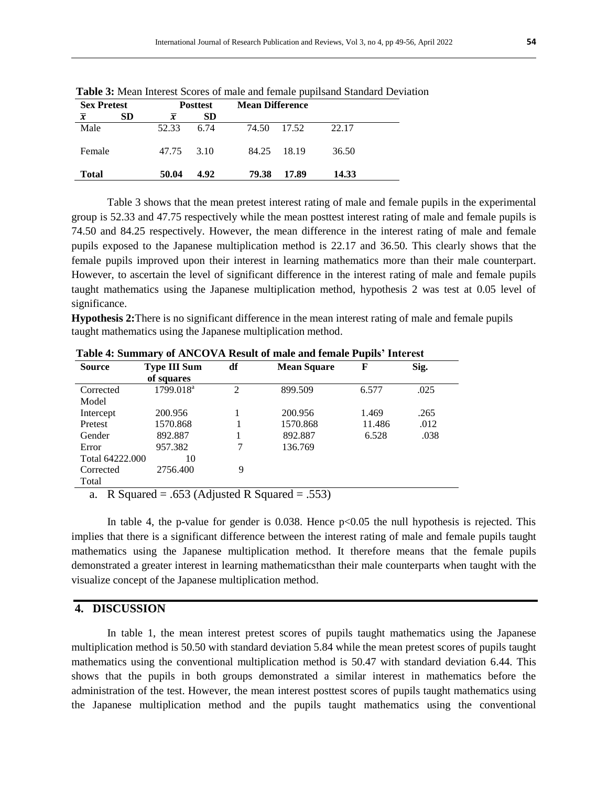| <b>Sex Pretest</b> |    | <b>Posttest</b> |           | <b>Mean Difference</b> |       |
|--------------------|----|-----------------|-----------|------------------------|-------|
| $\overline{x}$     | SD | $\overline{x}$  | <b>SD</b> |                        |       |
| Male               |    | 52.33           | 6.74      | 74.50<br>17.52         | 22.17 |
| Female             |    | 47.75           | 3.10      | 84.25<br>- 18.19       | 36.50 |
| Total              |    | 50.04           | 4.92      | 79.38<br>17.89         | 14.33 |

**Table 3:** Mean Interest Scores of male and female pupilsand Standard Deviation

Table 3 shows that the mean pretest interest rating of male and female pupils in the experimental group is 52.33 and 47.75 respectively while the mean posttest interest rating of male and female pupils is 74.50 and 84.25 respectively. However, the mean difference in the interest rating of male and female pupils exposed to the Japanese multiplication method is 22.17 and 36.50. This clearly shows that the female pupils improved upon their interest in learning mathematics more than their male counterpart. However, to ascertain the level of significant difference in the interest rating of male and female pupils taught mathematics using the Japanese multiplication method, hypothesis 2 was test at 0.05 level of significance.

**Hypothesis 2:**There is no significant difference in the mean interest rating of male and female pupils taught mathematics using the Japanese multiplication method.

| <b>Source</b>   | <b>Type III Sum</b>   | df | <b>Mean Square</b> | F      | Sig. |
|-----------------|-----------------------|----|--------------------|--------|------|
|                 | of squares            |    |                    |        |      |
| Corrected       | 1799.018 <sup>a</sup> | 2  | 899.509            | 6.577  | .025 |
| Model           |                       |    |                    |        |      |
| Intercept       | 200.956               |    | 200.956            | 1.469  | .265 |
| Pretest         | 1570.868              |    | 1570.868           | 11.486 | .012 |
| Gender          | 892.887               |    | 892.887            | 6.528  | .038 |
| Error           | 957.382               | 7  | 136.769            |        |      |
| Total 64222,000 | 10                    |    |                    |        |      |
| Corrected       | 2756.400              | 9  |                    |        |      |
| Total           |                       |    |                    |        |      |

**Table 4: Summary of ANCOVA Result of male and female Pupils' Interest** 

a. R Squared = .653 (Adjusted R Squared = .553)

In table 4, the p-value for gender is  $0.038$ . Hence  $p<0.05$  the null hypothesis is rejected. This implies that there is a significant difference between the interest rating of male and female pupils taught mathematics using the Japanese multiplication method. It therefore means that the female pupils demonstrated a greater interest in learning mathematicsthan their male counterparts when taught with the visualize concept of the Japanese multiplication method.

#### **4. DISCUSSION**

In table 1, the mean interest pretest scores of pupils taught mathematics using the Japanese multiplication method is 50.50 with standard deviation 5.84 while the mean pretest scores of pupils taught mathematics using the conventional multiplication method is 50.47 with standard deviation 6.44. This shows that the pupils in both groups demonstrated a similar interest in mathematics before the administration of the test. However, the mean interest posttest scores of pupils taught mathematics using the Japanese multiplication method and the pupils taught mathematics using the conventional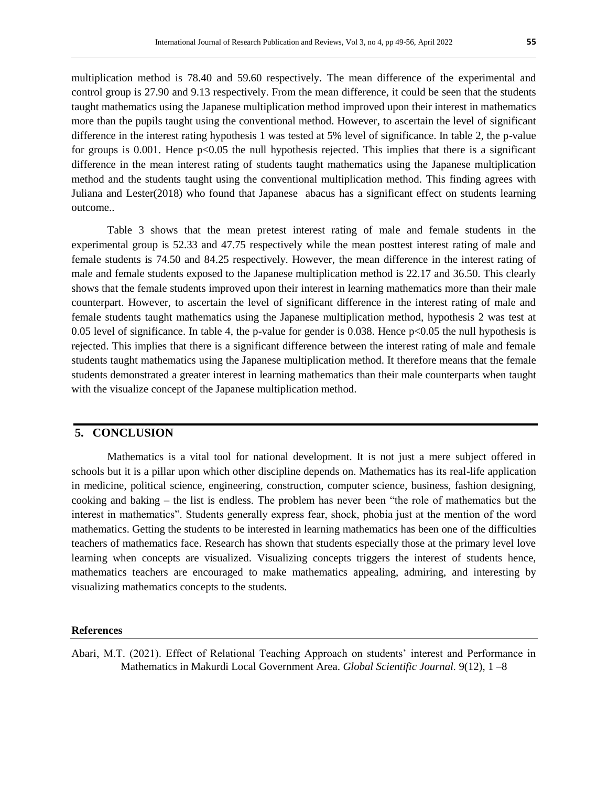multiplication method is 78.40 and 59.60 respectively. The mean difference of the experimental and control group is 27.90 and 9.13 respectively. From the mean difference, it could be seen that the students taught mathematics using the Japanese multiplication method improved upon their interest in mathematics more than the pupils taught using the conventional method. However, to ascertain the level of significant difference in the interest rating hypothesis 1 was tested at 5% level of significance. In table 2, the p-value for groups is 0.001. Hence  $p<0.05$  the null hypothesis rejected. This implies that there is a significant difference in the mean interest rating of students taught mathematics using the Japanese multiplication method and the students taught using the conventional multiplication method. This finding agrees with Juliana and Lester(2018) who found that Japanese abacus has a significant effect on students learning outcome..

Table 3 shows that the mean pretest interest rating of male and female students in the experimental group is 52.33 and 47.75 respectively while the mean posttest interest rating of male and female students is 74.50 and 84.25 respectively. However, the mean difference in the interest rating of male and female students exposed to the Japanese multiplication method is 22.17 and 36.50. This clearly shows that the female students improved upon their interest in learning mathematics more than their male counterpart. However, to ascertain the level of significant difference in the interest rating of male and female students taught mathematics using the Japanese multiplication method, hypothesis 2 was test at 0.05 level of significance. In table 4, the p-value for gender is 0.038. Hence p<0.05 the null hypothesis is rejected. This implies that there is a significant difference between the interest rating of male and female students taught mathematics using the Japanese multiplication method. It therefore means that the female students demonstrated a greater interest in learning mathematics than their male counterparts when taught with the visualize concept of the Japanese multiplication method.

#### **5. CONCLUSION**

Mathematics is a vital tool for national development. It is not just a mere subject offered in schools but it is a pillar upon which other discipline depends on. Mathematics has its real-life application in medicine, political science, engineering, construction, computer science, business, fashion designing, cooking and baking – the list is endless. The problem has never been "the role of mathematics but the interest in mathematics". Students generally express fear, shock, phobia just at the mention of the word mathematics. Getting the students to be interested in learning mathematics has been one of the difficulties teachers of mathematics face. Research has shown that students especially those at the primary level love learning when concepts are visualized. Visualizing concepts triggers the interest of students hence, mathematics teachers are encouraged to make mathematics appealing, admiring, and interesting by visualizing mathematics concepts to the students.

#### **References**

Abari, M.T. (2021). Effect of Relational Teaching Approach on students' interest and Performance in Mathematics in Makurdi Local Government Area. *Global Scientific Journal.* 9(12), 1 –8